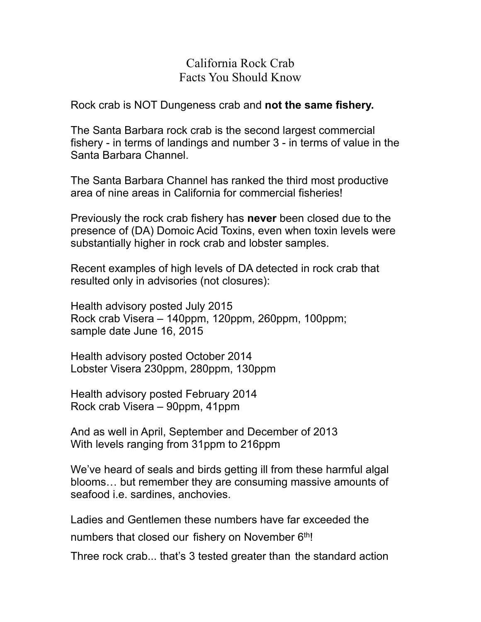## California Rock Crab Facts You Should Know

Rock crab is NOT Dungeness crab and **not the same fishery.**

The Santa Barbara rock crab is the second largest commercial fishery - in terms of landings and number 3 - in terms of value in the Santa Barbara Channel.

The Santa Barbara Channel has ranked the third most productive area of nine areas in California for commercial fisheries!

Previously the rock crab fishery has **never** been closed due to the presence of (DA) Domoic Acid Toxins, even when toxin levels were substantially higher in rock crab and lobster samples.

Recent examples of high levels of DA detected in rock crab that resulted only in advisories (not closures):

Health advisory posted July 2015 Rock crab Visera – 140ppm, 120ppm, 260ppm, 100ppm; sample date June 16, 2015

Health advisory posted October 2014 Lobster Visera 230ppm, 280ppm, 130ppm

Health advisory posted February 2014 Rock crab Visera – 90ppm, 41ppm

And as well in April, September and December of 2013 With levels ranging from 31ppm to 216ppm

We've heard of seals and birds getting ill from these harmful algal blooms… but remember they are consuming massive amounts of seafood i.e. sardines, anchovies.

Ladies and Gentlemen these numbers have far exceeded the numbers that closed our fishery on November 6th!

Three rock crab... that's 3 tested greater than the standard action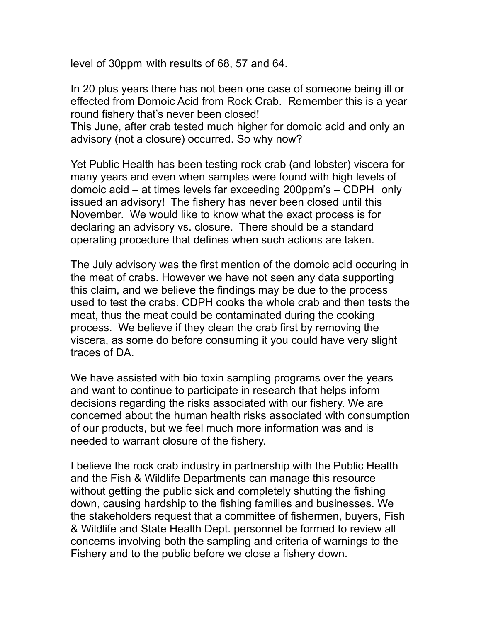level of 30ppm with results of 68, 57 and 64.

In 20 plus years there has not been one case of someone being ill or effected from Domoic Acid from Rock Crab. Remember this is a year round fishery that's never been closed!

This June, after crab tested much higher for domoic acid and only an advisory (not a closure) occurred. So why now?

Yet Public Health has been testing rock crab (and lobster) viscera for many years and even when samples were found with high levels of domoic acid – at times levels far exceeding 200ppm's – CDPH only issued an advisory! The fishery has never been closed until this November. We would like to know what the exact process is for declaring an advisory vs. closure. There should be a standard operating procedure that defines when such actions are taken.

The July advisory was the first mention of the domoic acid occuring in the meat of crabs. However we have not seen any data supporting this claim, and we believe the findings may be due to the process used to test the crabs. CDPH cooks the whole crab and then tests the meat, thus the meat could be contaminated during the cooking process. We believe if they clean the crab first by removing the viscera, as some do before consuming it you could have very slight traces of DA.

We have assisted with bio toxin sampling programs over the years and want to continue to participate in research that helps inform decisions regarding the risks associated with our fishery. We are concerned about the human health risks associated with consumption of our products, but we feel much more information was and is needed to warrant closure of the fishery.

I believe the rock crab industry in partnership with the Public Health and the Fish & Wildlife Departments can manage this resource without getting the public sick and completely shutting the fishing down, causing hardship to the fishing families and businesses. We the stakeholders request that a committee of fishermen, buyers, Fish & Wildlife and State Health Dept. personnel be formed to review all concerns involving both the sampling and criteria of warnings to the Fishery and to the public before we close a fishery down.